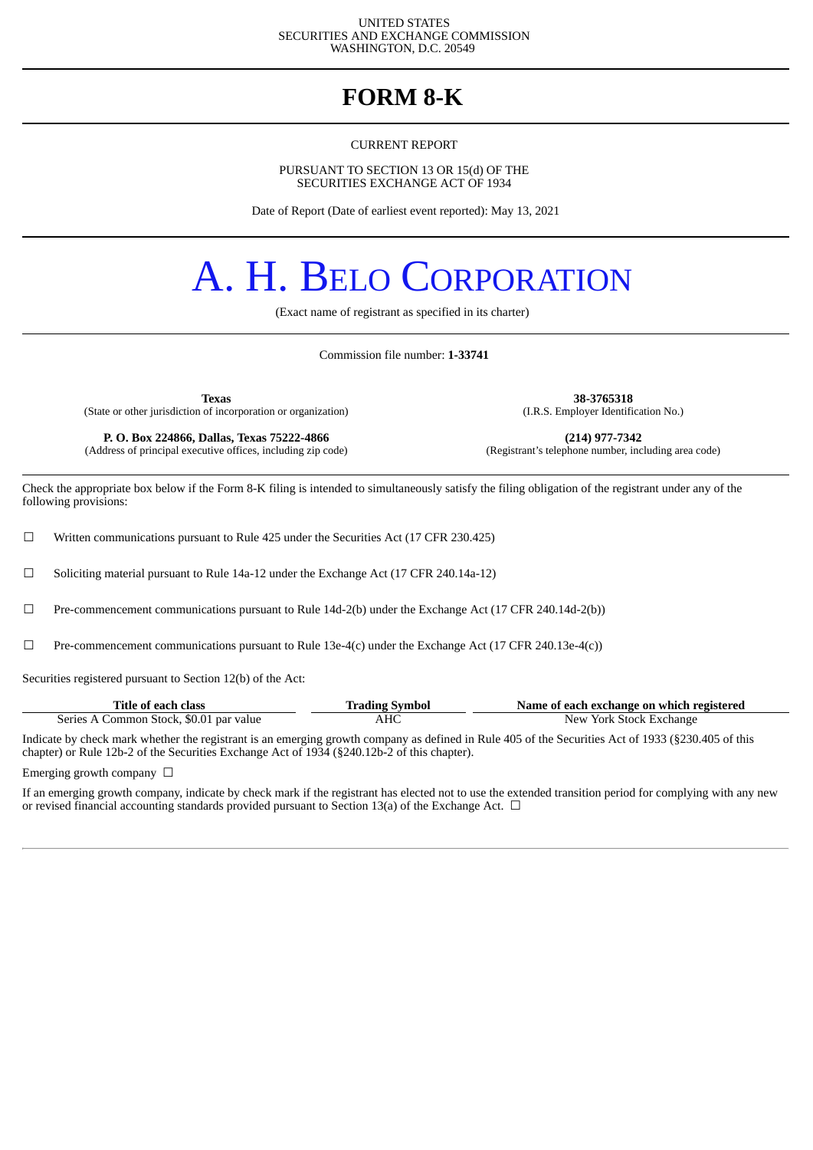#### UNITED STATES SECURITIES AND EXCHANGE COMMISSION WASHINGTON, D.C. 20549

### **FORM 8-K**

CURRENT REPORT

PURSUANT TO SECTION 13 OR 15(d) OF THE SECURITIES EXCHANGE ACT OF 1934

Date of Report (Date of earliest event reported): May 13, 2021

# A. H. BELO CORPORATION

(Exact name of registrant as specified in its charter)

Commission file number: **1-33741**

**Texas 38-3765318** (State or other jurisdiction of incorporation or organization)

**P. O. Box 224866, Dallas, Texas 75222-4866** (214) **(214) 977-7342** (dress of principal executive offices, including zip code) (Registrant's telephone number, including area code) (Address of principal executive offices, including zip code)

Check the appropriate box below if the Form 8-K filing is intended to simultaneously satisfy the filing obligation of the registrant under any of the following provisions:

 $\Box$  Written communications pursuant to Rule 425 under the Securities Act (17 CFR 230.425)

 $\Box$  Soliciting material pursuant to Rule 14a-12 under the Exchange Act (17 CFR 240.14a-12)

☐ Pre-commencement communications pursuant to Rule 14d-2(b) under the Exchange Act (17 CFR 240.14d-2(b))

 $□$  Pre-commencement communications pursuant to Rule 13e-4(c) under the Exchange Act (17 CFR 240.13e-4(c))

Securities registered pursuant to Section 12(b) of the Act:

| Title of each class                     | <b>Trading Symbol</b> | Name of each exchange on which registered |
|-----------------------------------------|-----------------------|-------------------------------------------|
| Series A Common Stock, \$0.01 par value | AHC                   | New York Stock Exchange                   |

Indicate by check mark whether the registrant is an emerging growth company as defined in Rule 405 of the Securities Act of 1933 (§230.405 of this chapter) or Rule 12b-2 of the Securities Exchange Act of 1934 (§240.12b-2 of this chapter).

Emerging growth company  $\Box$ 

If an emerging growth company, indicate by check mark if the registrant has elected not to use the extended transition period for complying with any new or revised financial accounting standards provided pursuant to Section 13(a) of the Exchange Act.  $\Box$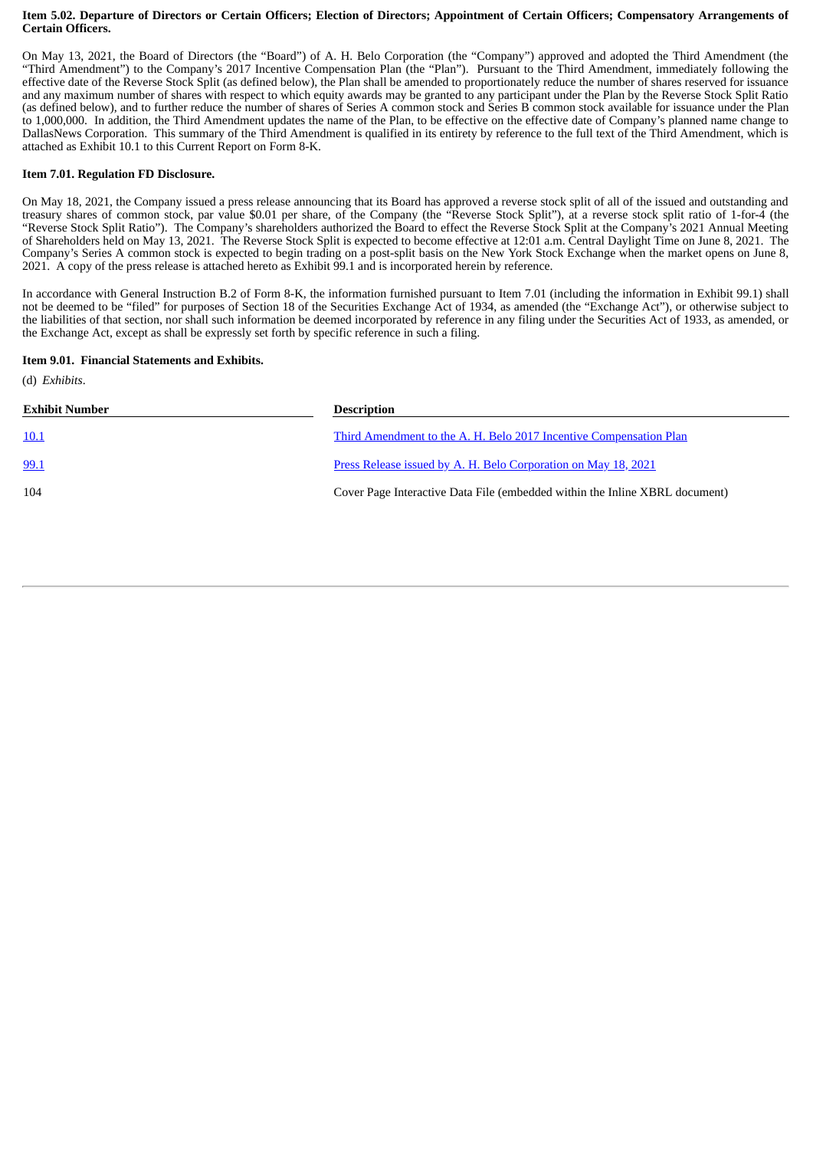#### Item 5.02. Departure of Directors or Certain Officers; Election of Directors; Appointment of Certain Officers; Compensatory Arrangements of **Certain Officers.**

On May 13, 2021, the Board of Directors (the "Board") of A. H. Belo Corporation (the "Company") approved and adopted the Third Amendment (the "Third Amendment") to the Company's 2017 Incentive Compensation Plan (the "Plan"). Pursuant to the Third Amendment, immediately following the effective date of the Reverse Stock Split (as defined below), the Plan shall be amended to proportionately reduce the number of shares reserved for issuance and any maximum number of shares with respect to which equity awards may be granted to any participant under the Plan by the Reverse Stock Split Ratio (as defined below), and to further reduce the number of shares of Series A common stock and Series B common stock available for issuance under the Plan to 1,000,000. In addition, the Third Amendment updates the name of the Plan, to be effective on the effective date of Company's planned name change to DallasNews Corporation. This summary of the Third Amendment is qualified in its entirety by reference to the full text of the Third Amendment, which is attached as Exhibit 10.1 to this Current Report on Form 8-K.

#### **Item 7.01. Regulation FD Disclosure.**

On May 18, 2021, the Company issued a press release announcing that its Board has approved a reverse stock split of all of the issued and outstanding and treasury shares of common stock, par value \$0.01 per share, of the Company (the "Reverse Stock Split"), at a reverse stock split ratio of 1-for-4 (the "Reverse Stock Split Ratio"). The Company's shareholders authorized the Board to effect the Reverse Stock Split at the Company's 2021 Annual Meeting of Shareholders held on May 13, 2021. The Reverse Stock Split is expected to become effective at 12:01 a.m. Central Daylight Time on June 8, 2021. The Company's Series A common stock is expected to begin trading on a post-split basis on the New York Stock Exchange when the market opens on June 8, 2021. A copy of the press release is attached hereto as Exhibit 99.1 and is incorporated herein by reference.

In accordance with General Instruction B.2 of Form 8-K, the information furnished pursuant to Item 7.01 (including the information in Exhibit 99.1) shall not be deemed to be "filed" for purposes of Section 18 of the Securities Exchange Act of 1934, as amended (the "Exchange Act"), or otherwise subject to the liabilities of that section, nor shall such information be deemed incorporated by reference in any filing under the Securities Act of 1933, as amended, or the Exchange Act, except as shall be expressly set forth by specific reference in such a filing.

#### **Item 9.01. Financial Statements and Exhibits.**

(d) *Exhibits*.

| <b>Exhibit Number</b> | <b>Description</b>                                                          |
|-----------------------|-----------------------------------------------------------------------------|
| <u>10.1</u>           | Third Amendment to the A. H. Belo 2017 Incentive Compensation Plan          |
| 99.1                  | Press Release issued by A. H. Belo Corporation on May 18, 2021              |
| 104                   | Cover Page Interactive Data File (embedded within the Inline XBRL document) |
|                       |                                                                             |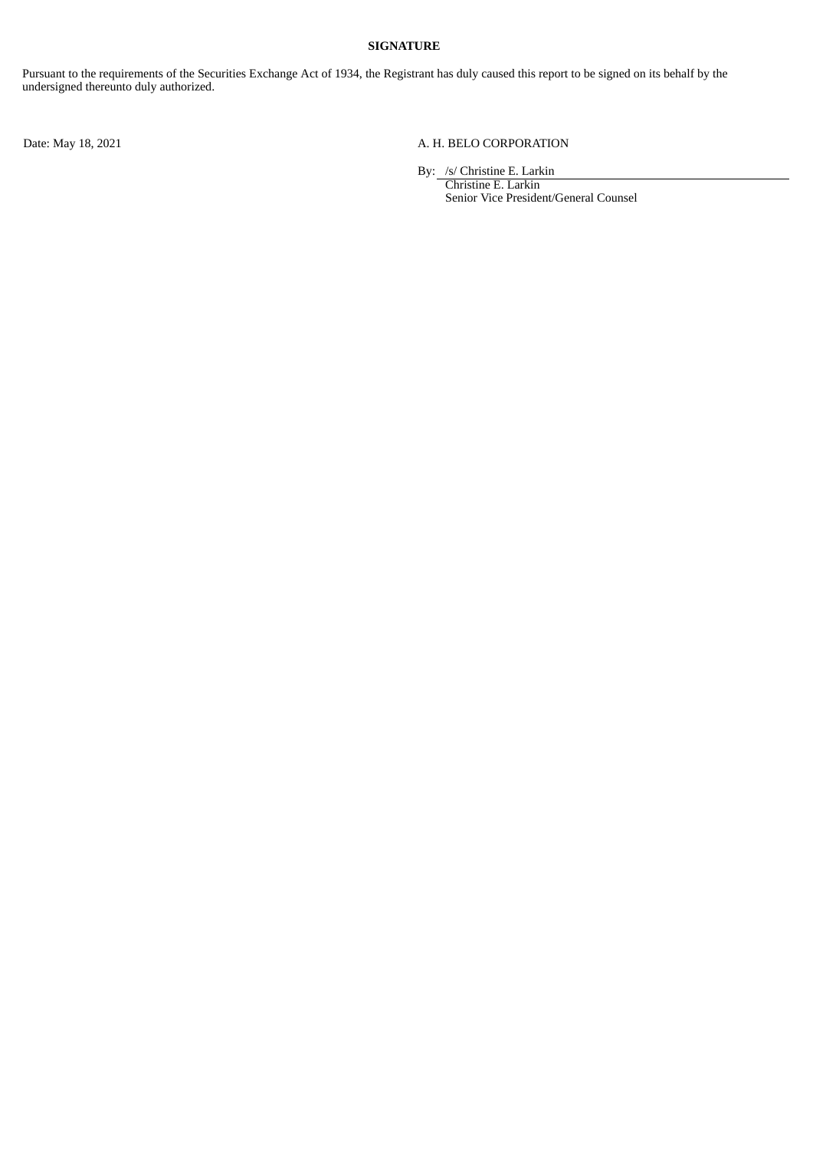#### **SIGNATURE**

Pursuant to the requirements of the Securities Exchange Act of 1934, the Registrant has duly caused this report to be signed on its behalf by the undersigned thereunto duly authorized.

#### Date: May 18, 2021 A. H. BELO CORPORATION

By: /s/ Christine E. Larkin

Christine E. Larkin Senior Vice President/General Counsel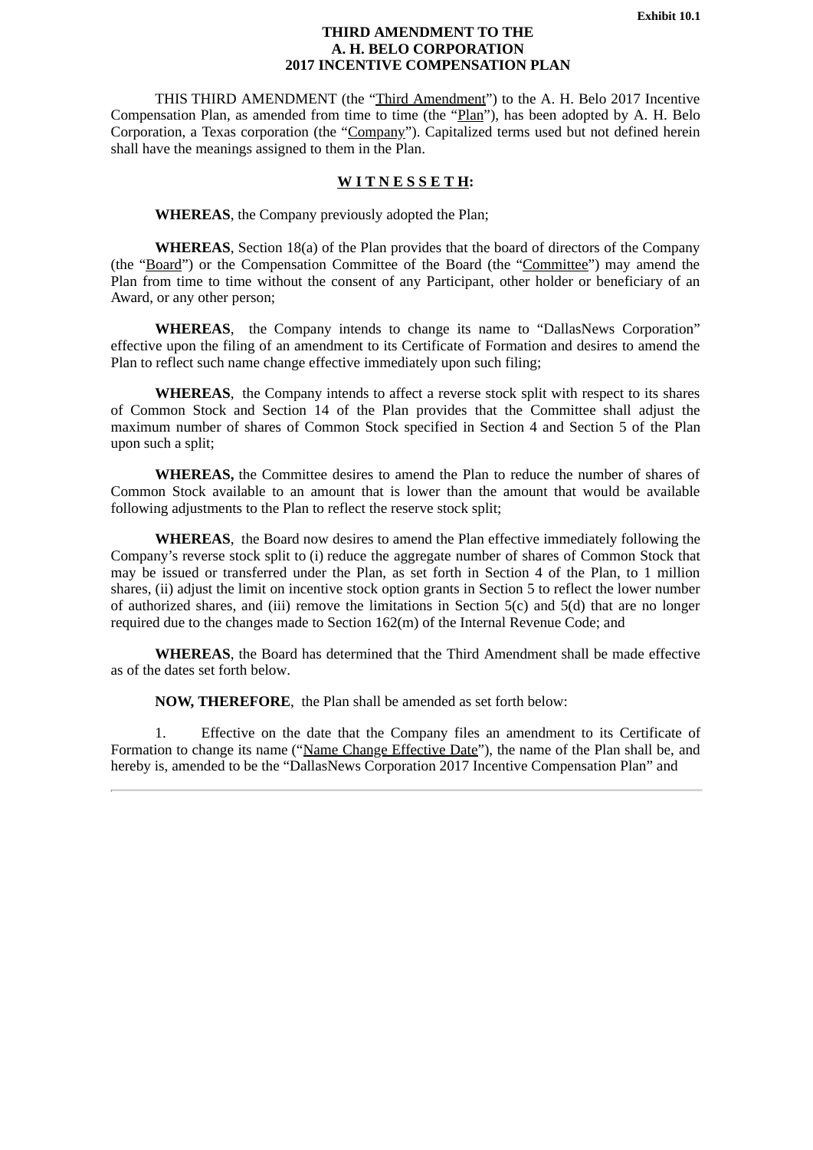#### **THIRD AMENDMENT TO THE A. H. BELO CORPORATION 2017 INCENTIVE COMPENSATION PLAN**

<span id="page-3-0"></span>THIS THIRD AMENDMENT (the "Third Amendment") to the A. H. Belo 2017 Incentive Compensation Plan, as amended from time to time (the "Plan"), has been adopted by A. H. Belo Corporation, a Texas corporation (the "Company"). Capitalized terms used but not defined herein shall have the meanings assigned to them in the Plan.

#### **W I T N E S S E T H:**

**WHEREAS**, the Company previously adopted the Plan;

**WHEREAS**, Section 18(a) of the Plan provides that the board of directors of the Company (the "Board") or the Compensation Committee of the Board (the "Committee") may amend the Plan from time to time without the consent of any Participant, other holder or beneficiary of an Award, or any other person;

**WHEREAS**, the Company intends to change its name to "DallasNews Corporation" effective upon the filing of an amendment to its Certificate of Formation and desires to amend the Plan to reflect such name change effective immediately upon such filing;

**WHEREAS**, the Company intends to affect a reverse stock split with respect to its shares of Common Stock and Section 14 of the Plan provides that the Committee shall adjust the maximum number of shares of Common Stock specified in Section 4 and Section 5 of the Plan upon such a split;

**WHEREAS,** the Committee desires to amend the Plan to reduce the number of shares of Common Stock available to an amount that is lower than the amount that would be available following adjustments to the Plan to reflect the reserve stock split;

**WHEREAS**, the Board now desires to amend the Plan effective immediately following the Company's reverse stock split to (i) reduce the aggregate number of shares of Common Stock that may be issued or transferred under the Plan, as set forth in Section 4 of the Plan, to 1 million shares, (ii) adjust the limit on incentive stock option grants in Section 5 to reflect the lower number of authorized shares, and (iii) remove the limitations in Section 5(c) and 5(d) that are no longer required due to the changes made to Section 162(m) of the Internal Revenue Code; and

**WHEREAS**, the Board has determined that the Third Amendment shall be made effective as of the dates set forth below.

**NOW, THEREFORE**, the Plan shall be amended as set forth below:

1. Effective on the date that the Company files an amendment to its Certificate of Formation to change its name ("Name Change Effective Date"), the name of the Plan shall be, and hereby is, amended to be the "DallasNews Corporation 2017 Incentive Compensation Plan" and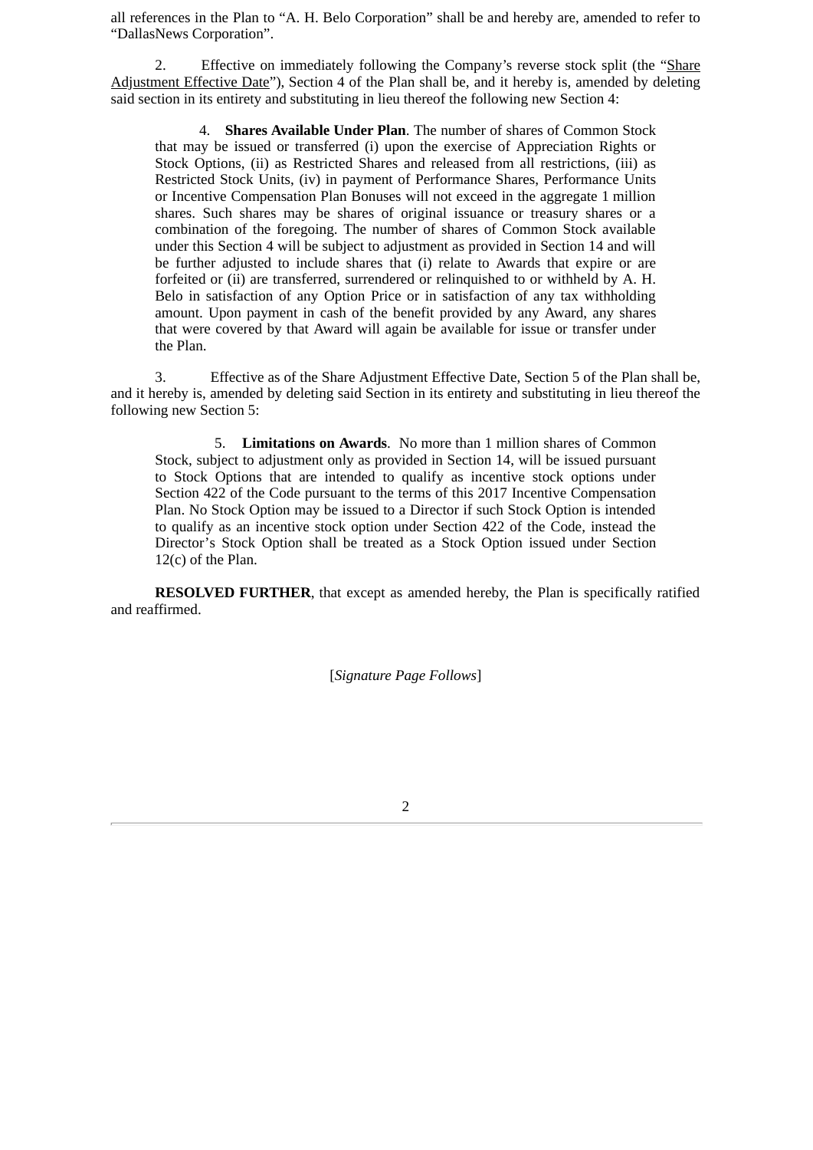all references in the Plan to "A. H. Belo Corporation" shall be and hereby are, amended to refer to "DallasNews Corporation".

2. Effective on immediately following the Company's reverse stock split (the "Share Adjustment Effective Date"), Section 4 of the Plan shall be, and it hereby is, amended by deleting said section in its entirety and substituting in lieu thereof the following new Section 4:

4. **Shares Available Under Plan**. The number of shares of Common Stock that may be issued or transferred (i) upon the exercise of Appreciation Rights or Stock Options, (ii) as Restricted Shares and released from all restrictions, (iii) as Restricted Stock Units, (iv) in payment of Performance Shares, Performance Units or Incentive Compensation Plan Bonuses will not exceed in the aggregate 1 million shares. Such shares may be shares of original issuance or treasury shares or a combination of the foregoing. The number of shares of Common Stock available under this Section 4 will be subject to adjustment as provided in Section 14 and will be further adjusted to include shares that (i) relate to Awards that expire or are forfeited or (ii) are transferred, surrendered or relinquished to or withheld by A. H. Belo in satisfaction of any Option Price or in satisfaction of any tax withholding amount. Upon payment in cash of the benefit provided by any Award, any shares that were covered by that Award will again be available for issue or transfer under the Plan.

3. Effective as of the Share Adjustment Effective Date, Section 5 of the Plan shall be, and it hereby is, amended by deleting said Section in its entirety and substituting in lieu thereof the following new Section 5:

5. **Limitations on Awards**. No more than 1 million shares of Common Stock, subject to adjustment only as provided in Section 14, will be issued pursuant to Stock Options that are intended to qualify as incentive stock options under Section 422 of the Code pursuant to the terms of this 2017 Incentive Compensation Plan. No Stock Option may be issued to a Director if such Stock Option is intended to qualify as an incentive stock option under Section 422 of the Code, instead the Director's Stock Option shall be treated as a Stock Option issued under Section 12(c) of the Plan.

**RESOLVED FURTHER**, that except as amended hereby, the Plan is specifically ratified and reaffirmed.

[*Signature Page Follows*]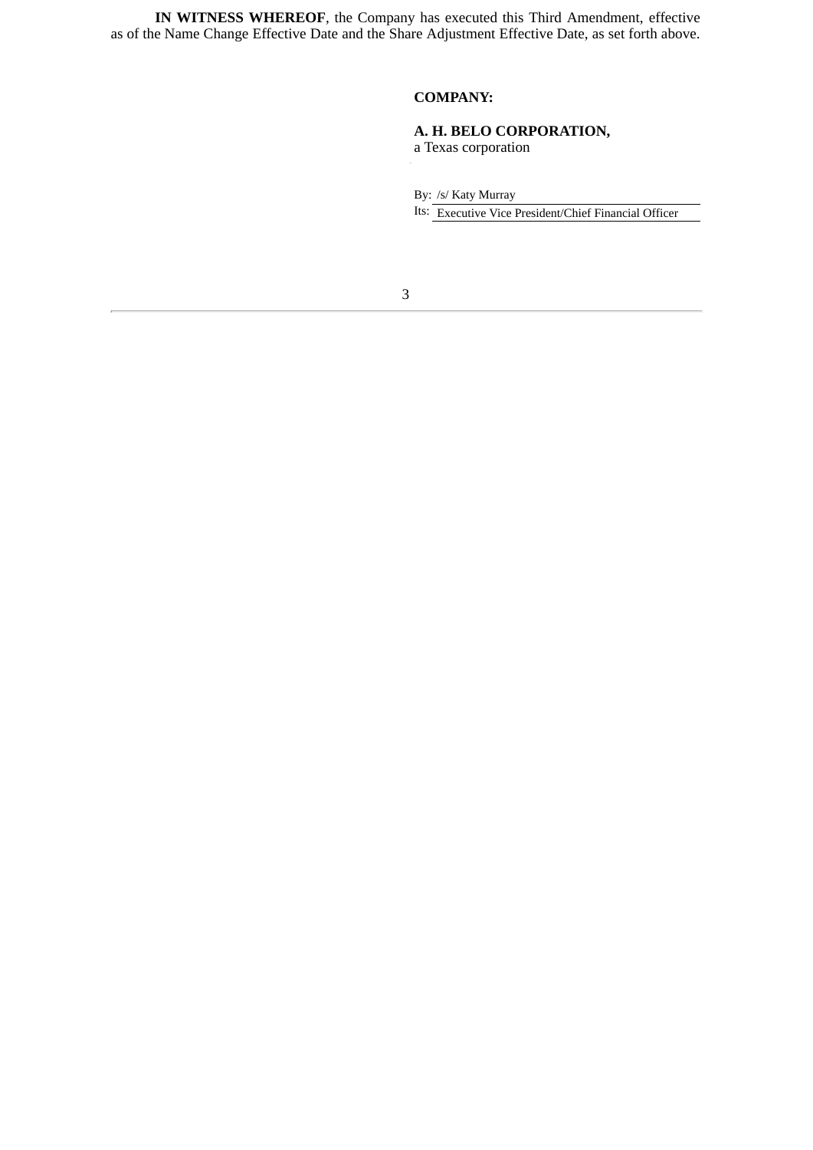**IN WITNESS WHEREOF**, the Company has executed this Third Amendment, effective as of the Name Change Effective Date and the Share Adjustment Effective Date, as set forth above.

#### **COMPANY:**

#### **A. H. BELO CORPORATION,** a Texas corporation

By: /s/ Katy Murray

Its: Executive Vice President/Chief Financial Officer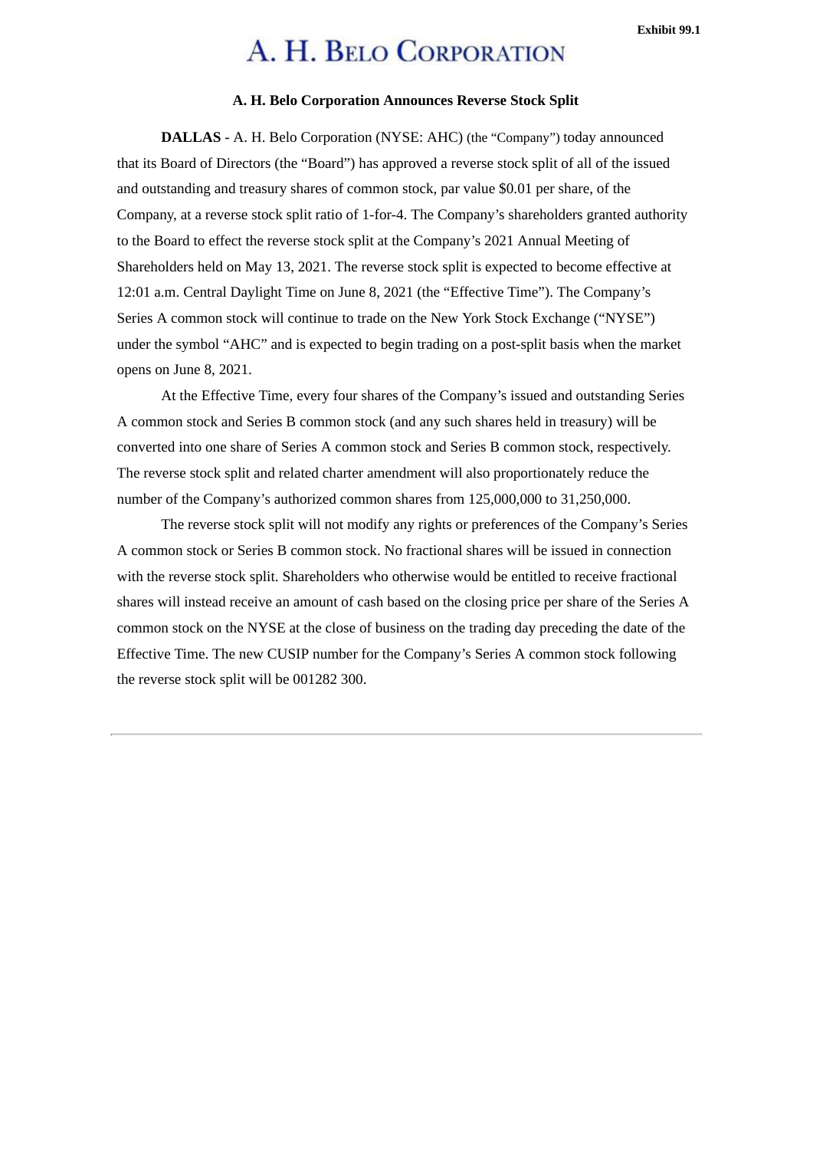## A. H. BELO CORPORATION

#### **A. H. Belo Corporation Announces Reverse Stock Split**

<span id="page-6-0"></span>**DALLAS** - A. H. Belo Corporation (NYSE: AHC) (the "Company") today announced that its Board of Directors (the "Board") has approved a reverse stock split of all of the issued and outstanding and treasury shares of common stock, par value \$0.01 per share, of the Company, at a reverse stock split ratio of 1-for-4. The Company's shareholders granted authority to the Board to effect the reverse stock split at the Company's 2021 Annual Meeting of Shareholders held on May 13, 2021. The reverse stock split is expected to become effective at 12:01 a.m. Central Daylight Time on June 8, 2021 (the "Effective Time"). The Company's Series A common stock will continue to trade on the New York Stock Exchange ("NYSE") under the symbol "AHC" and is expected to begin trading on a post-split basis when the market opens on June 8, 2021.

At the Effective Time, every four shares of the Company's issued and outstanding Series A common stock and Series B common stock (and any such shares held in treasury) will be converted into one share of Series A common stock and Series B common stock, respectively. The reverse stock split and related charter amendment will also proportionately reduce the number of the Company's authorized common shares from 125,000,000 to 31,250,000.

The reverse stock split will not modify any rights or preferences of the Company's Series A common stock or Series B common stock. No fractional shares will be issued in connection with the reverse stock split. Shareholders who otherwise would be entitled to receive fractional shares will instead receive an amount of cash based on the closing price per share of the Series A common stock on the NYSE at the close of business on the trading day preceding the date of the Effective Time. The new CUSIP number for the Company's Series A common stock following the reverse stock split will be 001282 300.